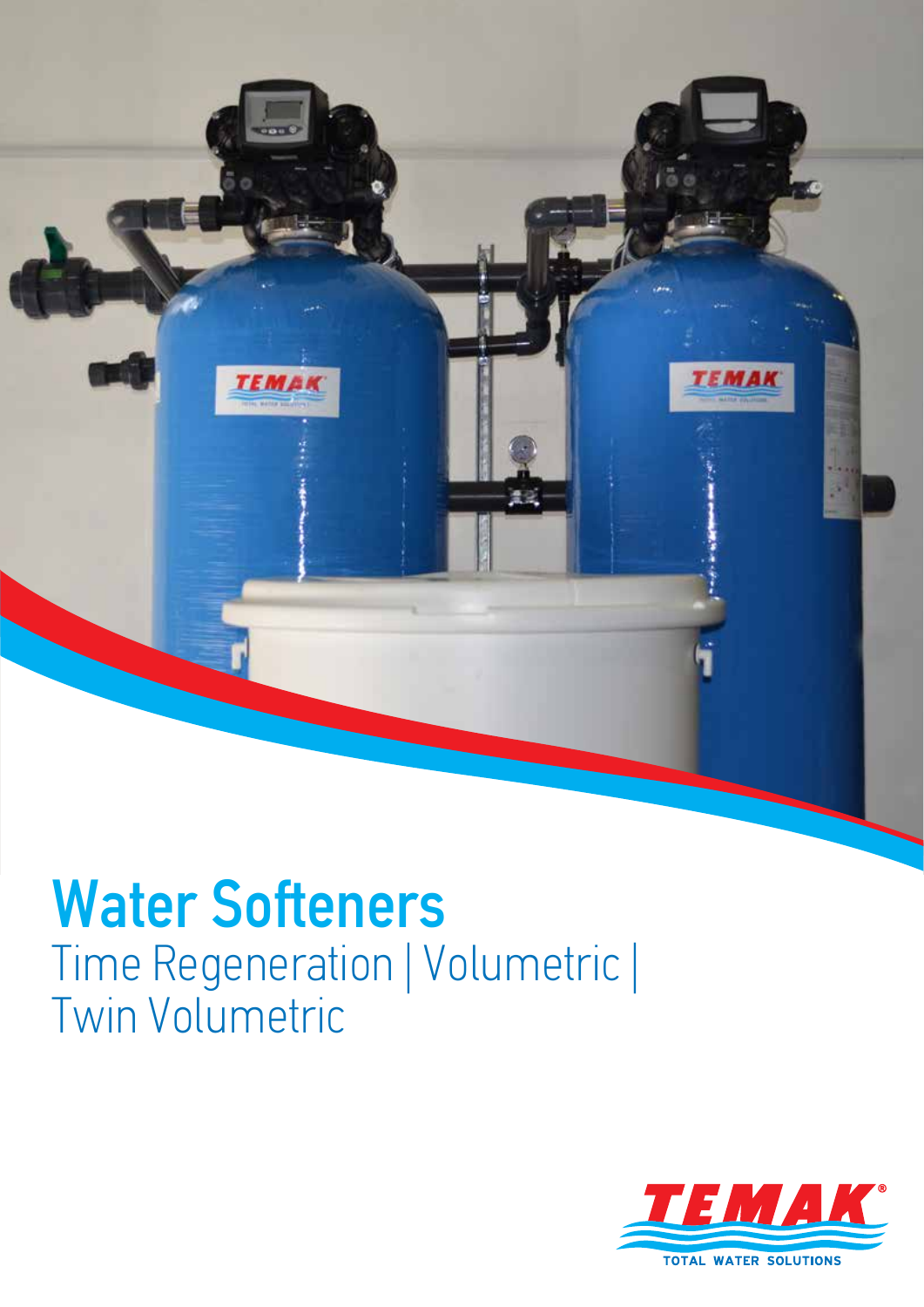

# Water Softeners Time Regeneration | Volumetric | Twin Volumetric

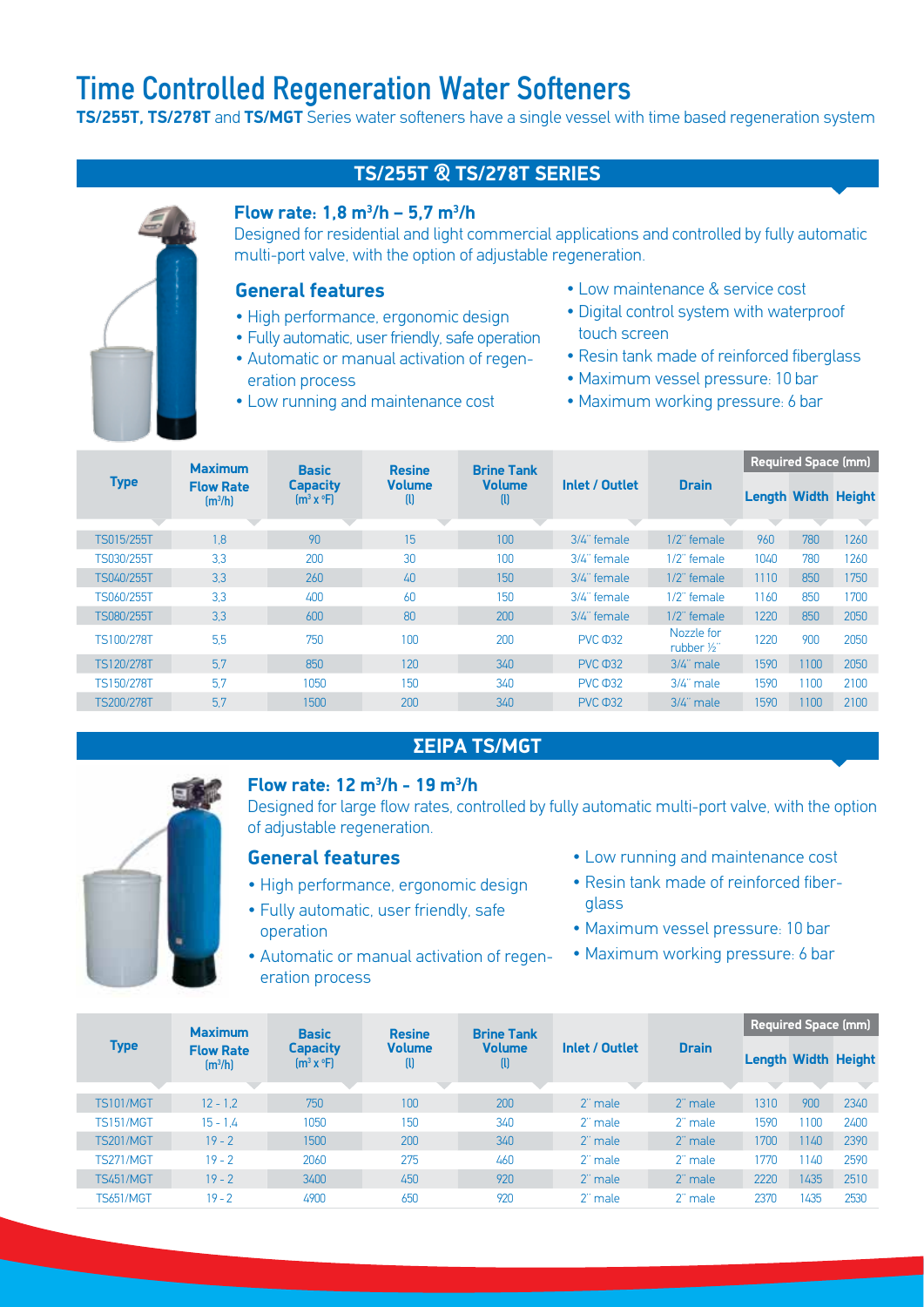### Time Controlled Regeneration Water Softeners

**TS/255T, TS/278T** and **TS/MGT** Series water softeners have a single vessel with time based regeneration system

#### **TS/255T & TS/278T SERIES**

#### **Flow rate: 1,8 m3 /h – 5,7 m3 /h**

Designed for residential and light commercial applications and controlled by fully automatic multi-port valve, with the option of adjustable regeneration.

#### **General features**

- High performance, ergonomic design
- Fully automatic, user friendly, safe operation
- Automatic or manual activation of regeneration process
- Low running and maintenance cost
- Low maintenance & service cost
- Digital control system with waterproof touch screen
- Resin tank made of reinforced fiberglass
- Maximum vessel pressure: 10 bar
- Maximum working pressure: 6 bar

|                   | <b>Maximum</b>                             | <b>Basic</b>                                                                           | <b>Resine</b>      | <b>Brine Tank</b>  |                       |                           | <b>Required Space (mm)</b> |                            |      |  |
|-------------------|--------------------------------------------|----------------------------------------------------------------------------------------|--------------------|--------------------|-----------------------|---------------------------|----------------------------|----------------------------|------|--|
| <b>Type</b>       | <b>Flow Rate</b><br>$\text{Im}^3/\text{h}$ | <b>Capacity</b><br>$\left[\mathbf{m}^{3} \mathbf{x} \right]$ $\left[\mathbf{F}\right]$ | <b>Volume</b><br>w | <b>Volume</b><br>w | <b>Inlet / Outlet</b> | <b>Drain</b>              |                            | <b>Length Width Height</b> |      |  |
|                   |                                            |                                                                                        |                    |                    |                       |                           |                            |                            |      |  |
| TS015/255T        | 1.8                                        | 90                                                                                     | 15                 | 100                | 3/4" female           | 1/2" female               | 960                        | 780                        | 1260 |  |
| TS030/255T        | 3.3                                        | 200                                                                                    | 30                 | 100                | 3/4" female           | 1/2" female               | 1040                       | 780                        | 1260 |  |
| TS040/255T        | 3.3                                        | 260                                                                                    | 40                 | 150                | 3/4" female           | $1/2$ " female            | 1110                       | 850                        | 1750 |  |
| TS060/255T        | 3.3                                        | 400                                                                                    | 60                 | 150                | 3/4" female           | 1/2" female               | 1160                       | 850                        | 1700 |  |
| TS080/255T        | 3.3                                        | 600                                                                                    | 80                 | 200                | 3/4" female           | $1/2$ " female            | 1220                       | 850                        | 2050 |  |
| TS100/278T        | 5.5                                        | 750                                                                                    | 100                | 200                | <b>PVC 032</b>        | Nozzle for<br>rubber 1/2" | 1220                       | 900                        | 2050 |  |
| <b>TS120/278T</b> | 5.7                                        | 850                                                                                    | 120                | 340                | <b>PVC 032</b>        | $3/4$ " male              | 1590                       | 1100                       | 2050 |  |
| TS150/278T        | 5.7                                        | 1050                                                                                   | 150                | 340                | <b>PVC 032</b>        | 3/4" male                 | 1590                       | 1100                       | 2100 |  |
| <b>TS200/278T</b> | 5.7                                        | 1500                                                                                   | 200                | 340                | <b>PVC 032</b>        | 3/4" male                 | 1590                       | 1100                       | 2100 |  |

#### **ΣΕΙΡΑ TS/MGT**



#### **Flow rate: 12 m3 /h - 19 m3 /h**

Designed for large flow rates, controlled by fully automatic multi-port valve, with the option of adjustable regeneration.

#### **General features**

- High performance, ergonomic design
- Fully automatic, user friendly, safe operation
- Automatic or manual activation of regeneration process
- Low running and maintenance cost
- Resin tank made of reinforced fiberglass
- Maximum vessel pressure: 10 bar
- Maximum working pressure: 6 bar

| <b>Type</b>      | <b>Maximum</b><br><b>Flow Rate</b><br>$\text{Im}^3/\text{hl}$ | <b>Basic</b><br><b>Capacity</b><br>$[m^3 \times \text{P}]$ | <b>Resine</b><br><b>Volume</b><br>$\left( 0 \right)$ | <b>Brine Tank</b><br><b>Volume</b><br>w | Inlet / Outlet |              | <b>Required Space (mm)</b> |      |      |  |
|------------------|---------------------------------------------------------------|------------------------------------------------------------|------------------------------------------------------|-----------------------------------------|----------------|--------------|----------------------------|------|------|--|
|                  |                                                               |                                                            |                                                      |                                         |                | <b>Drain</b> | <b>Length Width Height</b> |      |      |  |
|                  |                                                               |                                                            |                                                      |                                         |                |              |                            |      |      |  |
| <b>TS101/MGT</b> | $12 - 1.2$                                                    | 750                                                        | 100                                                  | 200                                     | 2" male        | 2" male      | 1310                       | 900  | 2340 |  |
| <b>TS151/MGT</b> | $15 - 1.4$                                                    | 1050                                                       | 150                                                  | 340                                     | 2" male        | 2" male      | 1590                       | 1100 | 2400 |  |
| <b>TS201/MGT</b> | $19 - 2$                                                      | 1500                                                       | 200                                                  | 340                                     | 2" male        | 2" male      | 1700                       | 1140 | 2390 |  |
| TS271/MGT        | $19 - 2$                                                      | 2060                                                       | 275                                                  | 460                                     | 2" male        | 2" male      | 1770                       | 140  | 2590 |  |
| <b>TS451/MGT</b> | $19 - 2$                                                      | 3400                                                       | 450                                                  | 920                                     | 2" male        | 2" male      | 2220                       | 1435 | 2510 |  |
| <b>TS651/MGT</b> | $19 - 2$                                                      | 4900                                                       | 650                                                  | 920                                     | 2" male        | 2" male      | 2370                       | 1435 | 2530 |  |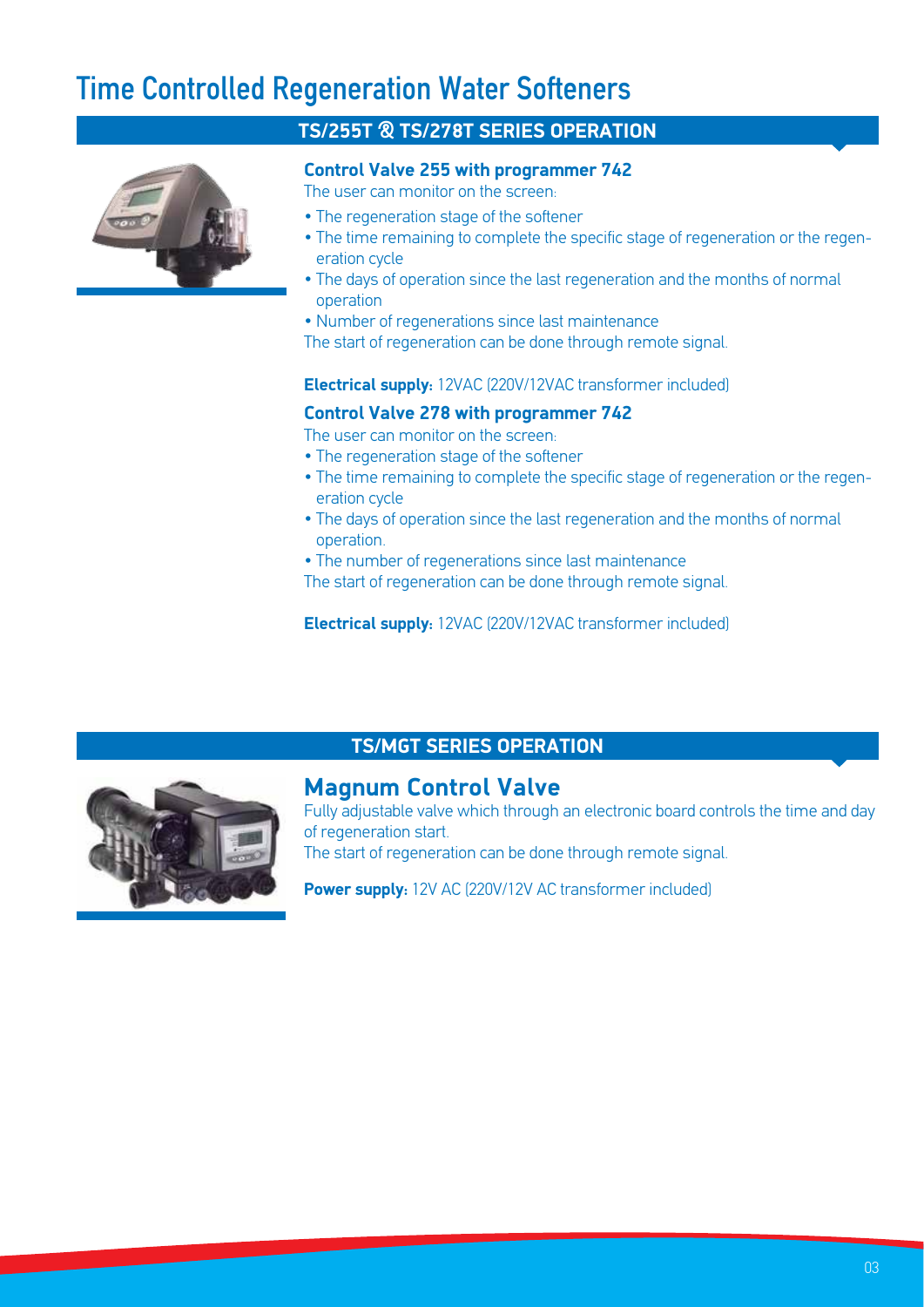### Time Controlled Regeneration Water Softeners



#### **TS/255T & TS/278T SERIES OPERATION**

#### **Control Valve 255 with programmer 742**

The user can monitor on the screen:

- The regeneration stage of the softener
- The time remaining to complete the specific stage of regeneration or the regeneration cycle
- The days of operation since the last regeneration and the months of normal operation
- Number of regenerations since last maintenance

The start of regeneration can be done through remote signal.

#### **Electrical supply:** 12VAC (220V/12VAC transformer included)

#### **Control Valve 278 with programmer 742**

The user can monitor on the screen:

- The regeneration stage of the softener
- The time remaining to complete the specific stage of regeneration or the regeneration cycle
- The days of operation since the last regeneration and the months of normal operation.
- The number of regenerations since last maintenance

The start of regeneration can be done through remote signal.

**Electrical supply:** 12VAC (220V/12VAC transformer included)



### **TS/MGT SERIES OPERATION**

#### **Magnum Control Valve**

Fully adjustable valve which through an electronic board controls the time and day of regeneration start.

The start of regeneration can be done through remote signal.

**Power supply:** 12V AC (220V/12V AC transformer included)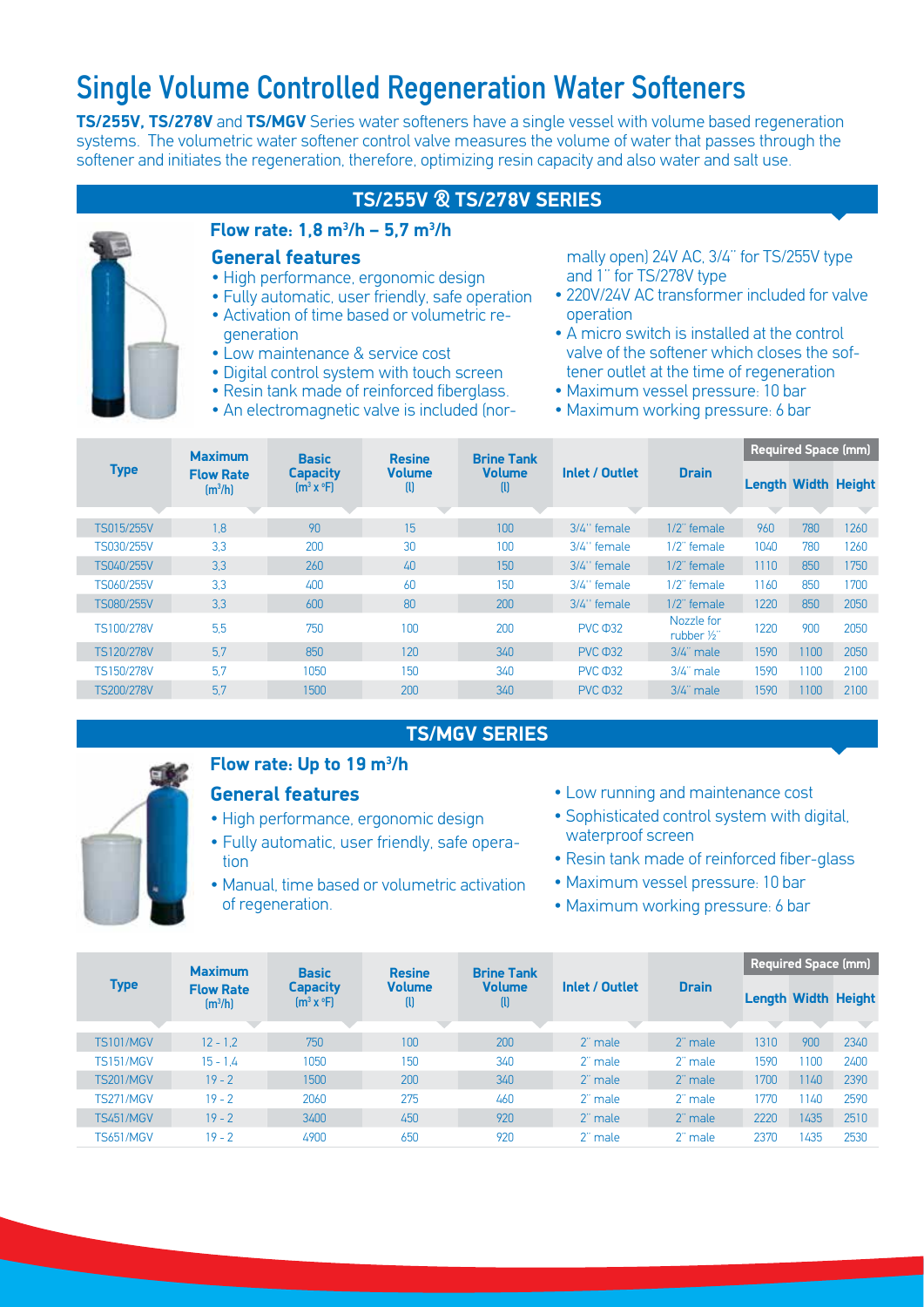### Single Volume Controlled Regeneration Water Softeners

**TS/255V, TS/278V** and **TS/MGV** Series water softeners have a single vessel with volume based regeneration systems. The volumetric water softener control valve measures the volume of water that passes through the softener and initiates the regeneration, therefore, optimizing resin capacity and also water and salt use.

#### **TS/255V & TS/278V SERIES**



#### **Flow rate: 1,8 m3 /h – 5,7 m3 /h**

#### **General features**

- High performance, ergonomic design
- Fully automatic, user friendly, safe operation • Activation of time based or volumetric regeneration
- Low maintenance & service cost
- Digital control system with touch screen
- Resin tank made of reinforced fiberglass.
- An electromagnetic valve is included (nor-

mally open) 24V AC, 3/4'' for TS/255V type and 1'' for TS/278V type

- 220V/24V AC transformer included for valve operation
- A micro switch is installed at the control valve of the softener which closes the softener outlet at the time of regeneration
- Maximum vessel pressure: 10 bar
- Maximum working pressure: 6 bar

| <b>Type</b>       | <b>Maximum</b>                             | <b>Basic</b><br><b>Capacity</b><br>$\text{Im}^3$ x $\text{P}$ | <b>Resine</b><br><b>Volume</b><br>O | <b>Brine Tank</b><br><b>Volume</b><br>$\mathbf{u}$ |                |                                    | <b>Required Space (mm)</b> |      |      |  |
|-------------------|--------------------------------------------|---------------------------------------------------------------|-------------------------------------|----------------------------------------------------|----------------|------------------------------------|----------------------------|------|------|--|
|                   | <b>Flow Rate</b><br>$\text{Im}^3/\text{h}$ |                                                               |                                     |                                                    | Inlet / Outlet | <b>Drain</b>                       | <b>Length Width Height</b> |      |      |  |
|                   |                                            |                                                               |                                     |                                                    |                |                                    |                            |      |      |  |
| TS015/255V        | 1.8                                        | 90                                                            | 15                                  | 100                                                | $3/4$ " female | $1/2$ " female                     | 960                        | 780  | 1260 |  |
| TS030/255V        | 3.3                                        | 200                                                           | 30                                  | 100                                                | 3/4" female    | $1/2$ " female                     | 1040                       | 780  | 1260 |  |
| TS040/255V        | 3.3                                        | 260                                                           | 40                                  | 150                                                | 3/4" female    | $1/2$ " female                     | 1110                       | 850  | 1750 |  |
| TS060/255V        | 3.3                                        | 400                                                           | 60                                  | 150                                                | 3/4" female    | 1/2" female                        | 1160                       | 850  | 1700 |  |
| <b>TS080/255V</b> | 3.3                                        | 600                                                           | 80                                  | 200                                                | 3/4" female    | $1/2$ " female                     | 1220                       | 850  | 2050 |  |
| TS100/278V        | 5.5                                        | 750                                                           | 100                                 | 200                                                | <b>PVC 032</b> | Nozzle for<br>rubber $\frac{1}{2}$ | 1220                       | 900  | 2050 |  |
| TS120/278V        | 5.7                                        | 850                                                           | 120                                 | 340                                                | <b>PVC 032</b> | $3/4$ " male                       | 1590                       | 1100 | 2050 |  |
| TS150/278V        | 5.7                                        | 1050                                                          | 150                                 | 340                                                | <b>PVC 032</b> | $3/4$ " male                       | 1590                       | 1100 | 2100 |  |
| <b>TS200/278V</b> | 5.7                                        | 1500                                                          | 200                                 | 340                                                | <b>PVC 032</b> | $3/4$ " male                       | 1590                       | 1100 | 2100 |  |

#### **TS/MGV SERIES**



#### **Flow rate: Up to 19 m3 /h**

#### **General features**

- High performance, ergonomic design
- Fully automatic, user friendly, safe operation
- Manual, time based or volumetric activation of regeneration.
- Low running and maintenance cost
- Sophisticated control system with digital, waterproof screen
- Resin tank made of reinforced fiber-glass
- Maximum vessel pressure: 10 bar
- Maximum working pressure: 6 bar

| <b>Type</b>      | <b>Maximum</b><br><b>Flow Rate</b><br>$\text{Im}^3/\text{h}$ | <b>Basic</b><br><b>Capacity</b><br>$[m^3 x^oF]$ | <b>Resine</b><br><b>Volume</b><br>w | <b>Brine Tank</b><br><b>Volume</b><br>$\mathbf{u}$ | Inlet / Outlet |              | <b>Required Space (mm)</b> |      |                            |  |
|------------------|--------------------------------------------------------------|-------------------------------------------------|-------------------------------------|----------------------------------------------------|----------------|--------------|----------------------------|------|----------------------------|--|
|                  |                                                              |                                                 |                                     |                                                    |                | <b>Drain</b> |                            |      | <b>Length Width Height</b> |  |
|                  |                                                              |                                                 |                                     |                                                    |                |              |                            |      |                            |  |
| <b>TS101/MGV</b> | $12 - 1.2$                                                   | 750                                             | 100                                 | 200                                                | 2" male        | 2" male      | 1310                       | 900  | 2340                       |  |
| <b>TS151/MGV</b> | $15 - 1.4$                                                   | 1050                                            | 150                                 | 340                                                | 2" male        | 2" male      | 1590                       | 100  | 2400                       |  |
| <b>TS201/MGV</b> | $19 - 2$                                                     | 1500                                            | 200                                 | 340                                                | 2" male        | 2" male      | 1700                       | 1140 | 2390                       |  |
| <b>TS271/MGV</b> | $19 - 2$                                                     | 2060                                            | 275                                 | 460                                                | 2" male        | 2" male      | 1770                       | 140  | 2590                       |  |
| <b>TS451/MGV</b> | $19 - 2$                                                     | 3400                                            | 450                                 | 920                                                | 2" male        | 2" male      | 2220                       | 1435 | 2510                       |  |
| <b>TS651/MGV</b> | $19 - 2$                                                     | 4900                                            | 650                                 | 920                                                | 2" male        | 2" male      | 2370                       | 1435 | 2530                       |  |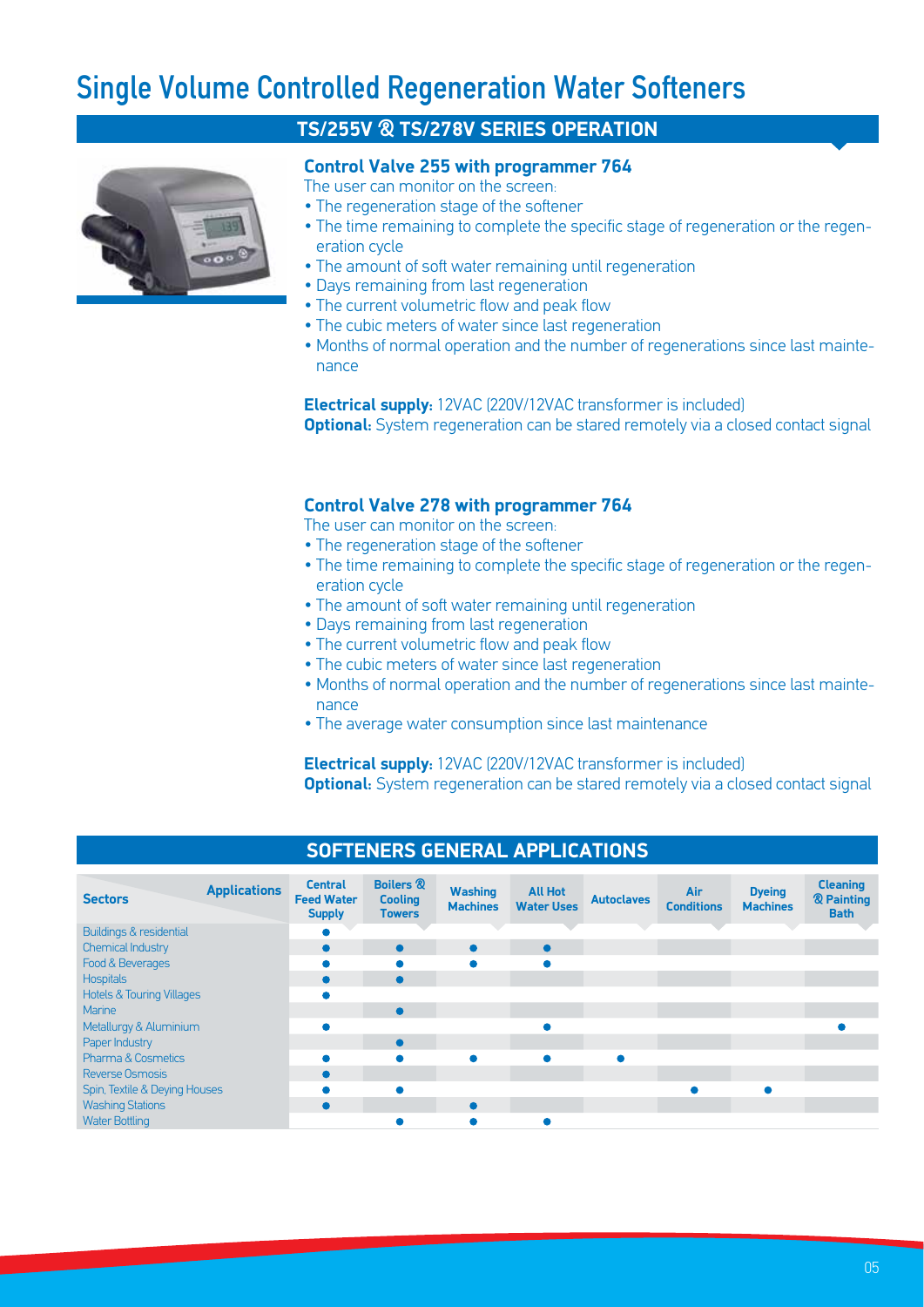### Single Volume Controlled Regeneration Water Softeners



#### **TS/255V & TS/278V SERIES OPERATION**

#### **Control Valve 255 with programmer 764**

- The user can monitor on the screen:
- The regeneration stage of the softener
- The time remaining to complete the specific stage of regeneration or the regeneration cycle
- The amount of soft water remaining until regeneration
- Days remaining from last regeneration
- The current volumetric flow and peak flow
- The cubic meters of water since last regeneration
- Months of normal operation and the number of regenerations since last maintenance

**Electrical supply:** 12VAC (220V/12VAC transformer is included) **Optional:** System regeneration can be stared remotely via a closed contact signal

#### **Control Valve 278 with programmer 764**

The user can monitor on the screen-

- The regeneration stage of the softener
- The time remaining to complete the specific stage of regeneration or the regeneration cycle
- The amount of soft water remaining until regeneration
- Days remaining from last regeneration
- The current volumetric flow and peak flow
- The cubic meters of water since last regeneration
- Months of normal operation and the number of regenerations since last maintenance
- The average water consumption since last maintenance

**Electrical supply:** 12VAC (220V/12VAC transformer is included)

**Optional:** System regeneration can be stared remotely via a closed contact signal

| <b>Sectors</b>                       | <b>Applications</b> | <b>Central</b><br><b>Feed Water</b><br><b>Supply</b> | <b>Boilers &amp;</b><br><b>Cooling</b><br><b>Towers</b> | <b>Washing</b><br><b>Machines</b> | <b>All Hot</b><br><b>Water Uses</b> | <b>Autoclaves</b> | Air<br><b>Conditions</b> | <b>Dyeing</b><br><b>Machines</b> | <b>Cleaning</b><br><b>&amp; Painting</b><br><b>Bath</b> |  |  |
|--------------------------------------|---------------------|------------------------------------------------------|---------------------------------------------------------|-----------------------------------|-------------------------------------|-------------------|--------------------------|----------------------------------|---------------------------------------------------------|--|--|
| Buildings & residential              |                     |                                                      |                                                         |                                   |                                     |                   |                          |                                  |                                                         |  |  |
| <b>Chemical Industry</b>             |                     |                                                      | $\bullet$                                               | $\bullet$                         | $\bullet$                           |                   |                          |                                  |                                                         |  |  |
| Food & Beverages                     |                     |                                                      |                                                         |                                   |                                     |                   |                          |                                  |                                                         |  |  |
| <b>Hospitals</b>                     |                     |                                                      | $\bullet$                                               |                                   |                                     |                   |                          |                                  |                                                         |  |  |
| <b>Hotels &amp; Touring Villages</b> |                     |                                                      |                                                         |                                   |                                     |                   |                          |                                  |                                                         |  |  |
| Marine                               |                     |                                                      | $\bullet$                                               |                                   |                                     |                   |                          |                                  |                                                         |  |  |
| Metallurgy & Aluminium               |                     |                                                      |                                                         |                                   |                                     |                   |                          |                                  |                                                         |  |  |
| Paper Industry                       |                     |                                                      | $\bullet$                                               |                                   |                                     |                   |                          |                                  |                                                         |  |  |
| <b>Pharma &amp; Cosmetics</b>        |                     |                                                      |                                                         |                                   |                                     |                   |                          |                                  |                                                         |  |  |
| Reverse Osmosis                      |                     |                                                      |                                                         |                                   |                                     |                   |                          |                                  |                                                         |  |  |
| Spin, Textile & Deying Houses        |                     |                                                      |                                                         |                                   |                                     |                   |                          |                                  |                                                         |  |  |
| <b>Washing Stations</b>              |                     |                                                      |                                                         | $\bullet$                         |                                     |                   |                          |                                  |                                                         |  |  |
| <b>Water Bottling</b>                |                     |                                                      |                                                         |                                   |                                     |                   |                          |                                  |                                                         |  |  |

#### **SOFTENERS GENERAL APPLICATIONS**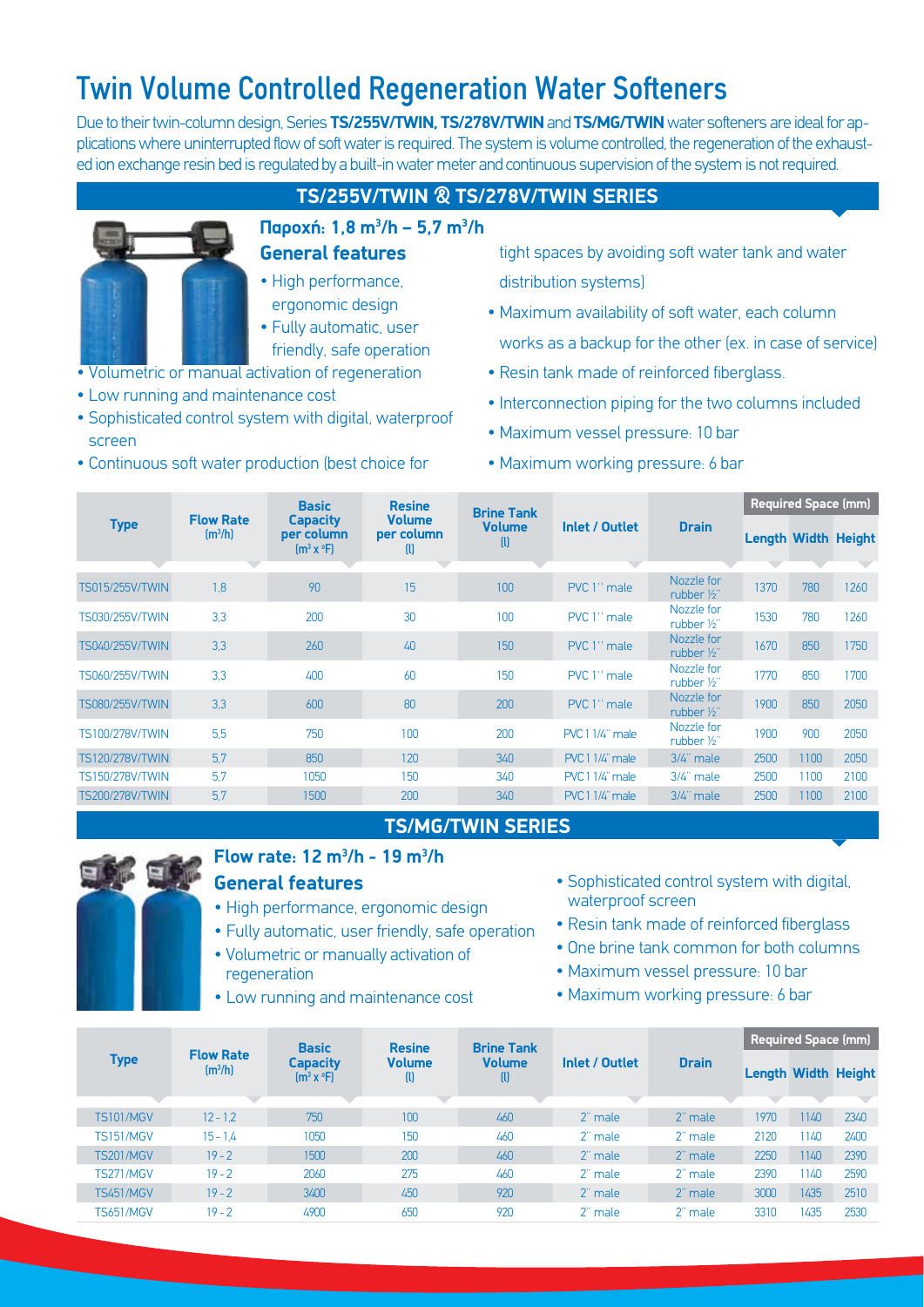### Twin Volume Controlled Regeneration Water Softeners

Due to their twin-column design, Series **TS/255V/TWIN, TS/278V/TWIN** and **TS/MG/TWIN** water softeners are ideal for applications where uninterrupted flow of soft water is required. The system is volume controlled, the regeneration of the exhausted ion exchange resin bed is regulated by a built-in water meter and continuous supervision of the system is not required.

#### **TS/255V/TWIN & TS/278V/TWIN SERIES**



- **General features Παροχή: 1,8 m<sup>3</sup> /h – 5,7 m3 /h**
- High performance, ergonomic design
- Fully automatic, user
- friendly, safe operation • Volumetric or manual activation of regeneration
- Low running and maintenance cost
- Sophisticated control system with digital, waterproof screen
- Continuous soft water production (best choice for

tight spaces by avoiding soft water tank and water distribution systems)

- Maximum availability of soft water, each column works as a backup for the other (ex. in case of service)
- Resin tank made of reinforced fiberglass.
- Interconnection piping for the two columns included
- Maximum vessel pressure: 10 bar
- Maximum working pressure: 6 bar

| <b>Type</b>            |                                             | <b>Basic</b>                                  | <b>Resine</b>                               | <b>Brine Tank</b><br><b>Volume</b><br>$\mathbf{u}$ | Inlet / Outlet         |                                    | <b>Required Space (mm)</b> |      |      |  |
|------------------------|---------------------------------------------|-----------------------------------------------|---------------------------------------------|----------------------------------------------------|------------------------|------------------------------------|----------------------------|------|------|--|
|                        | <b>Flow Rate</b><br>$\text{Im}^3/\text{hl}$ | <b>Capacity</b><br>per column<br>$[m^3 x^oF]$ | <b>Volume</b><br>per column<br>$\mathbf{u}$ |                                                    |                        | <b>Drain</b>                       | <b>Length Width Height</b> |      |      |  |
| <b>TS015/255V/TWIN</b> | 1,8                                         | 90                                            | 15                                          | 100                                                | PVC 1" male            | Nozzle for<br>rubber $\frac{1}{2}$ | 1370                       | 780  | 1260 |  |
| TS030/255V/TWIN        | 3.3                                         | 200                                           | 30                                          | 100                                                | PVC 1" male            | Nozzle for<br>rubber 1/2"          | 1530                       | 780  | 1260 |  |
| <b>TS040/255V/TWIN</b> | 3.3                                         | 260                                           | 40                                          | 150                                                | PVC 1" male            | Nozzle for<br>rubber 1/2"          | 1670                       | 850  | 1750 |  |
| <b>TS060/255V/TWIN</b> | 3.3                                         | 400                                           | 60                                          | 150                                                | PVC 1" male            | Nozzle for<br>rubber $\frac{1}{2}$ | 1770                       | 850  | 1700 |  |
| <b>TS080/255V/TWIN</b> | 3.3                                         | 600                                           | 80                                          | 200                                                | PVC 1" male            | Nozzle for<br>rubber 1/2"          | 1900                       | 850  | 2050 |  |
| <b>TS100/278V/TWIN</b> | 5,5                                         | 750                                           | 100                                         | 200                                                | <b>PVC 1 1/4" male</b> | Nozzle for<br>rubber $\frac{1}{2}$ | 1900                       | 900  | 2050 |  |
| <b>TS120/278V/TWIN</b> | 5.7                                         | 850                                           | 120                                         | 340                                                | <b>PVC11/4"</b> male   | $3/4$ " male                       | 2500                       | 1100 | 2050 |  |
| <b>TS150/278V/TWIN</b> | 5.7                                         | 1050                                          | 150                                         | 340                                                | <b>PVC11/4"</b> male   | $3/4$ " male                       | 2500                       | 1100 | 2100 |  |
| <b>TS200/278V/TWIN</b> | 5.7                                         | 1500                                          | 200                                         | 340                                                | <b>PVC11/4"</b> male   | 3/4" male                          | 2500                       | 1100 | 2100 |  |

#### **TS/MG/TWIN SERIES**



#### **General features Flow rate: 12 m3 /h - 19 m3 /h**

- High performance, ergonomic design
- Fully automatic, user friendly, safe operation
- Volumetric or manually activation of regeneration
- Low running and maintenance cost
- Sophisticated control system with digital, waterproof screen
- Resin tank made of reinforced fiberglass
- One brine tank common for both columns
- Maximum vessel pressure: 10 bar
- Maximum working pressure: 6 bar

| <b>Type</b>      | <b>Flow Rate</b><br>$\left[\frac{m^3}{h}\right]$ | <b>Basic</b><br>Capacity<br>$\text{Im}^3 \times {}^{\circ}\text{F}$ | <b>Resine</b><br><b>Volume</b><br>ω | <b>Brine Tank</b><br><b>Volume</b><br>$\mathbf{u}$ | Inlet / Outlet |              | Required Space (mm)        |      |      |  |
|------------------|--------------------------------------------------|---------------------------------------------------------------------|-------------------------------------|----------------------------------------------------|----------------|--------------|----------------------------|------|------|--|
|                  |                                                  |                                                                     |                                     |                                                    |                | <b>Drain</b> | <b>Length Width Height</b> |      |      |  |
|                  |                                                  |                                                                     |                                     |                                                    |                |              |                            |      |      |  |
| <b>TS101/MGV</b> | $12 - 1.2$                                       | 750                                                                 | 100                                 | 460                                                | 2" male        | 2" male      | 1970                       | 1140 | 2340 |  |
| <b>TS151/MGV</b> | $15 - 1.4$                                       | 1050                                                                | 150                                 | 460                                                | 2" male        | 2" male      | 2120                       | 1140 | 2400 |  |
| <b>TS201/MGV</b> | $19 - 2$                                         | 1500                                                                | 200                                 | 460                                                | 2" male        | 2" male      | 2250                       | 1140 | 2390 |  |
| <b>TS271/MGV</b> | $19 - 2$                                         | 2060                                                                | 275                                 | 460                                                | 2" male        | 2" male      | 2390                       | 1140 | 2590 |  |
| <b>TS451/MGV</b> | $19 - 2$                                         | 3400                                                                | 450                                 | 920                                                | 2" male        | 2" male      | 3000                       | 1435 | 2510 |  |
| <b>TS651/MGV</b> | $19 - 2$                                         | 4900                                                                | 650                                 | 920                                                | 2" male        | 2" male      | 3310                       | 1435 | 2530 |  |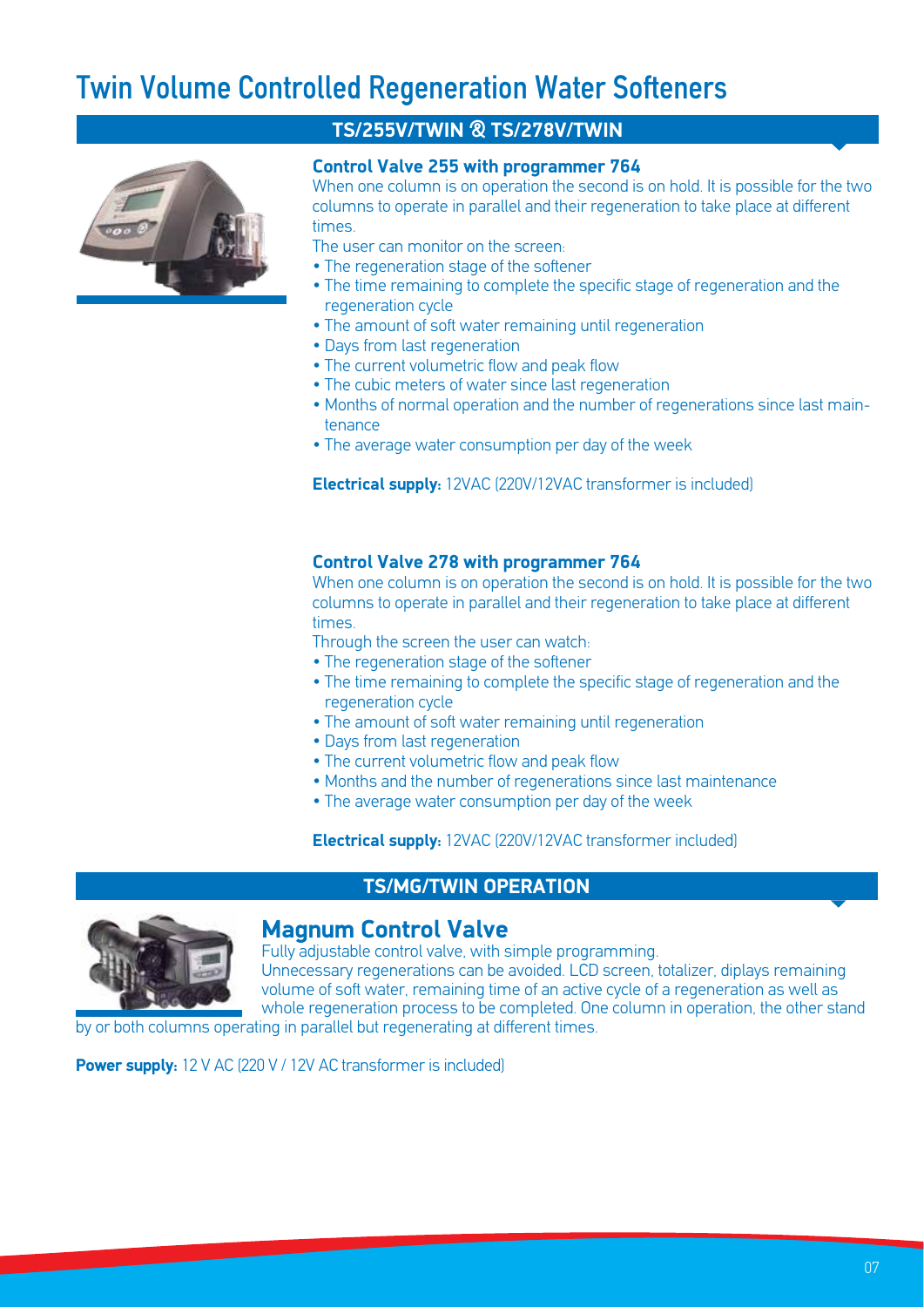### Twin Volume Controlled Regeneration Water Softeners



#### **TS/255V/TWIN & TS/278V/TWIN**

#### **Control Valve 255 with programmer 764**

When one column is on operation the second is on hold. It is possible for the two columns to operate in parallel and their regeneration to take place at different times.

The user can monitor on the screen:

- The regeneration stage of the softener
- The time remaining to complete the specific stage of regeneration and the regeneration cycle
- The amount of soft water remaining until regeneration
- Days from last regeneration
- The current volumetric flow and peak flow
- The cubic meters of water since last regeneration
- Months of normal operation and the number of regenerations since last maintenance
- Τhe average water consumption per day of the week

**Electrical supply:** 12VAC (220V/12VAC transformer is included)

#### **Control Valve 278 with programmer 764**

When one column is on operation the second is on hold. It is possible for the two columns to operate in parallel and their regeneration to take place at different times.

Through the screen the user can watch:

- The regeneration stage of the softener
- The time remaining to complete the specific stage of regeneration and the regeneration cycle
- The amount of soft water remaining until regeneration
- Days from last regeneration
- The current volumetric flow and peak flow
- Months and the number of regenerations since last maintenance
- Τhe average water consumption per day of the week

**Electrical supply:** 12VAC (220V/12VAC transformer included)

#### **TS/MG/TWIN OPERATION**



#### **Magnum Control Valve**

Fully adjustable control valve, with simple programming.

Unnecessary regenerations can be avoided. LCD screen, totalizer, diplays remaining volume of soft water, remaining time of an active cycle of a regeneration as well as whole regeneration process to be completed. One column in operation, the other stand

by or both columns operating in parallel but regenerating at different times.

**Power supply:** 12 V AC (220 V / 12V AC transformer is included)